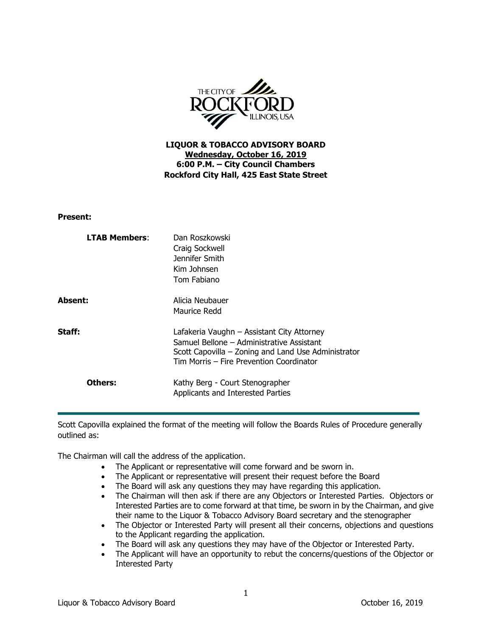

**LIQUOR & TOBACCO ADVISORY BOARD Wednesday, October 16, 2019 6:00 P.M. – City Council Chambers Rockford City Hall, 425 East State Street**

**Present:**

| <b>LTAB Members:</b> | Dan Roszkowski<br>Craig Sockwell<br>Jennifer Smith<br>Kim Johnsen<br>Tom Fabiano                                                                                                           |
|----------------------|--------------------------------------------------------------------------------------------------------------------------------------------------------------------------------------------|
| Absent:              | Alicia Neubauer<br>Maurice Redd                                                                                                                                                            |
| Staff:               | Lafakeria Vaughn – Assistant City Attorney<br>Samuel Bellone - Administrative Assistant<br>Scott Capovilla – Zoning and Land Use Administrator<br>Tim Morris - Fire Prevention Coordinator |
| Others:              | Kathy Berg - Court Stenographer<br>Applicants and Interested Parties                                                                                                                       |

Scott Capovilla explained the format of the meeting will follow the Boards Rules of Procedure generally outlined as:

The Chairman will call the address of the application.

- The Applicant or representative will come forward and be sworn in.
- The Applicant or representative will present their request before the Board
- The Board will ask any questions they may have regarding this application.
- The Chairman will then ask if there are any Objectors or Interested Parties. Objectors or Interested Parties are to come forward at that time, be sworn in by the Chairman, and give their name to the Liquor & Tobacco Advisory Board secretary and the stenographer
- The Objector or Interested Party will present all their concerns, objections and questions to the Applicant regarding the application.
- The Board will ask any questions they may have of the Objector or Interested Party.
- The Applicant will have an opportunity to rebut the concerns/questions of the Objector or Interested Party